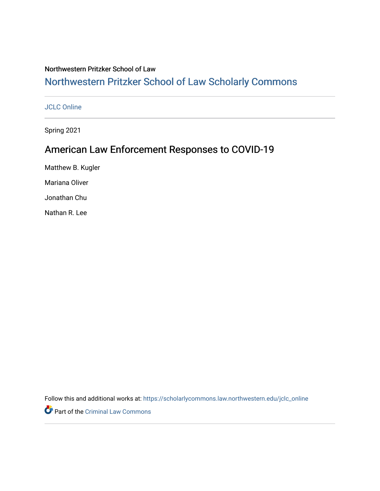### Northwestern Pritzker School of Law

# [Northwestern Pritzker School of Law Scholarly Commons](https://scholarlycommons.law.northwestern.edu/)

### [JCLC Online](https://scholarlycommons.law.northwestern.edu/jclc_online)

Spring 2021

# American Law Enforcement Responses to COVID-19

Matthew B. Kugler

Mariana Oliver

Jonathan Chu

Nathan R. Lee

Follow this and additional works at: [https://scholarlycommons.law.northwestern.edu/jclc\\_online](https://scholarlycommons.law.northwestern.edu/jclc_online?utm_source=scholarlycommons.law.northwestern.edu%2Fjclc_online%2F8&utm_medium=PDF&utm_campaign=PDFCoverPages) 

Part of the [Criminal Law Commons](http://network.bepress.com/hgg/discipline/912?utm_source=scholarlycommons.law.northwestern.edu%2Fjclc_online%2F8&utm_medium=PDF&utm_campaign=PDFCoverPages)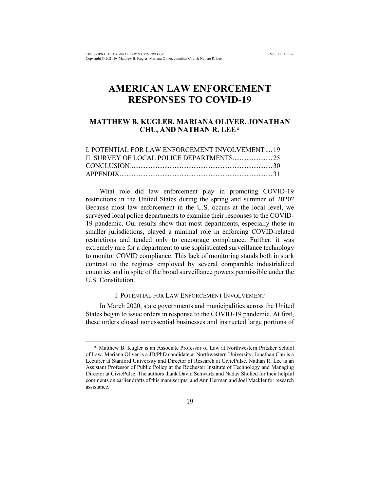# **AMERICAN LAW ENFORCEMENT RESPONSES TO COVID-19**

## **MATTHEW B. KUGLER, MARIANA OLIVER, JONATHAN CHU, AND NATHAN R. LEE[\\*](#page-1-0)**

| I. POTENTIAL FOR LAW ENFORCEMENT INVOLVEMENT 19 |  |
|-------------------------------------------------|--|
|                                                 |  |
|                                                 |  |
|                                                 |  |

What role did law enforcement play in promoting COVID-19 restrictions in the United States during the spring and summer of 2020? Because most law enforcement in the U.S. occurs at the local level, we surveyed local police departments to examine their responses to the COVID-19 pandemic. Our results show that most departments, especially those in smaller jurisdictions, played a minimal role in enforcing COVID-related restrictions and tended only to encourage compliance. Further, it was extremely rare for a department to use sophisticated surveillance technology to monitor COVID compliance. This lack of monitoring stands both in stark contrast to the regimes employed by several comparable industrialized countries and in spite of the broad surveillance powers permissible under the U.S. Constitution.

#### I. POTENTIAL FOR LAW ENFORCEMENT INVOLVEMENT

In March 2020, state governments and municipalities across the United States began to issue orders in response to the COVID-19 pandemic. At first, these orders closed nonessential businesses and instructed large portions of

<span id="page-1-0"></span><sup>\*</sup> Matthew B. Kugler is an Associate Professor of Law at Northwestern Pritzker School of Law. Mariana Oliver is a JD/PhD candidate at Northwestern University. Jonathan Chu is a Lecturer at Stanford University and Director of Research at CivicPulse. Nathan R. Lee is an Assistant Professor of Public Policy at the Rochester Institute of Technology and Managing Director at CivicPulse. The authors thank David Schwartz and Nadav Shoked for their helpful comments on earlier drafts of this manuscripts, and Ann Herman and Joel Mackler for research assistance.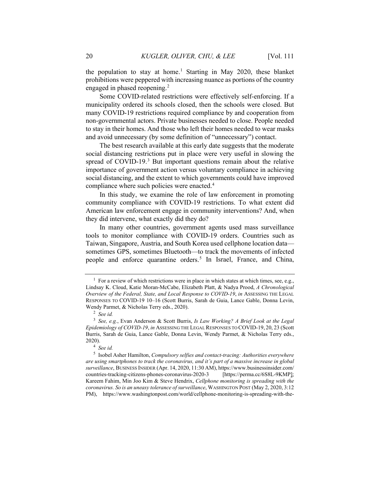<span id="page-2-6"></span>the population to stay at home.<sup>[1](#page-2-0)</sup> Starting in May 2020, these blanket prohibitions were peppered with increasing nuance as portions of the country engaged in phased reopening.<sup>[2](#page-2-1)</sup>

Some COVID-related restrictions were effectively self-enforcing. If a municipality ordered its schools closed, then the schools were closed. But many COVID-19 restrictions required compliance by and cooperation from non-governmental actors. Private businesses needed to close. People needed to stay in their homes. And those who left their homes needed to wear masks and avoid unnecessary (by some definition of "unnecessary") contact.

The best research available at this early date suggests that the moderate social distancing restrictions put in place were very useful in slowing the spread of COVID-19.<sup>[3](#page-2-2)</sup> But important questions remain about the relative importance of government action versus voluntary compliance in achieving social distancing, and the extent to which governments could have improved compliance where such policies were enacted.[4](#page-2-3)

In this study, we examine the role of law enforcement in promoting community compliance with COVID-19 restrictions. To what extent did American law enforcement engage in community interventions? And, when they did intervene, what exactly did they do?

In many other countries, government agents used mass surveillance tools to monitor compliance with COVID-19 orders. Countries such as Taiwan, Singapore, Austria, and South Korea used cellphone location data sometimes GPS, sometimes Bluetooth—to track the movements of infected people and enforce quarantine orders.<sup>5</sup> In Israel, France, and China,

<span id="page-2-5"></span><span id="page-2-0"></span> $1$  For a review of which restrictions were in place in which states at which times, see, e.g., Lindsay K. Cloud, Katie Moran-McCabe, Elizabeth Platt, & Nadya Prood, *A Chronological Overview of the Federal, State, and Local Response to COVID-19*, *in* ASSESSING THE LEGAL RESPONSES TO COVID-19 10–16 (Scott Burris, Sarah de Guia, Lance Gable, Donna Levin, Wendy Parmet, & Nicholas Terry eds., 2020).

<sup>2</sup> *See id.*

<span id="page-2-2"></span><span id="page-2-1"></span><sup>3</sup> *See, e.g.*, Evan Anderson & Scott Burris, *Is Law Working? A Brief Look at the Legal Epidemiology of COVID-19*, *in* ASSESSING THE LEGAL RESPONSES TO COVID-19, 20, 23 (Scott Burris, Sarah de Guia, Lance Gable, Donna Levin, Wendy Parmet, & Nicholas Terry eds., 2020).

<sup>4</sup> *See id.*

<span id="page-2-4"></span><span id="page-2-3"></span><sup>5</sup> Isobel Asher Hamilton, *Compulsory selfies and contact-tracing: Authorities everywhere are using smartphones to track the coronavirus, and it's part of a massive increase in global surveillance*, BUSINESS INSIDER (Apr. 14, 2020, 11:30 AM), https://www.businessinsider.com/ countries-tracking-citizens-phones-coronavirus-2020-3 [https://perma.cc/6S8L-9KMP]; Kareem Fahim, Min Joo Kim & Steve Hendrix, *Cellphone monitoring is spreading with the coronavirus. So is an uneasy tolerance of surveillance*, WASHINGTON POST (May 2, 2020, 3:12 PM), https://www.washingtonpost.com/world/cellphone-monitoring-is-spreading-with-the-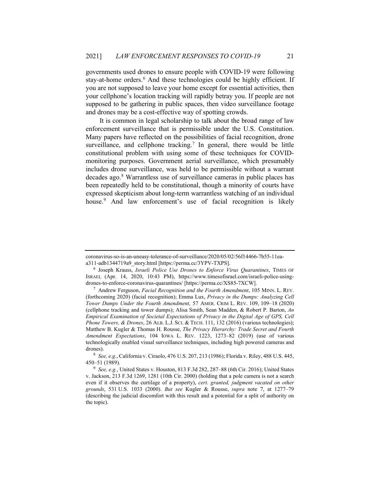governments used drones to ensure people with COVID-19 were following stay-at-home orders.<sup>[6](#page-3-1)</sup> And these technologies could be highly efficient. If you are not supposed to leave your home except for essential activities, then your cellphone's location tracking will rapidly betray you. If people are not supposed to be gathering in public spaces, then video surveillance footage and drones may be a cost-effective way of spotting crowds.

<span id="page-3-0"></span>It is common in legal scholarship to talk about the broad range of law enforcement surveillance that is permissible under the U.S. Constitution. Many papers have reflected on the possibilities of facial recognition, drone surveillance, and cellphone tracking.<sup>[7](#page-3-2)</sup> In general, there would be little constitutional problem with using some of these techniques for COVIDmonitoring purposes. Government aerial surveillance, which presumably includes drone surveillance, was held to be permissible without a warrant decades ago. [8](#page-3-3) Warrantless use of surveillance cameras in public places has been repeatedly held to be constitutional, though a minority of courts have expressed skepticism about long-term warrantless watching of an individual house.<sup>[9](#page-3-4)</sup> And law enforcement's use of facial recognition is likely

coronavirus-so-is-an-uneasy-tolerance-of-surveillance/2020/05/02/56f14466-7b55-11eaa311-adb1344719a9\_story.html [https://perma.cc/3YPV-TXPS].

<span id="page-3-1"></span><sup>6</sup> Joseph Krauss, *Israeli Police Use Drones to Enforce Virus Quarantines*, TIMES OF ISRAEL (Apr. 14, 2020, 10:43 PM), https://www.timesofisrael.com/israeli-police-usingdrones-to-enforce-coronavirus-quarantines/ [https://perma.cc/XS85-7XCW].

<span id="page-3-2"></span><sup>7</sup> Andrew Ferguson, *Facial Recognition and the Fourth Amendment*, 105 MINN. L. REV. (forthcoming 2020) (facial recognition); Emma Lux, *Privacy in the Dumps: Analyzing Cell Tower Dumps Under the Fourth Amendment,* 57 AMER. CRIM L. REV. 109, 109–18 (2020) (cellphone tracking and tower dumps); Alisa Smith, Sean Madden, & Robert P. Barton, *An Empirical Examination of Societal Expectations of Privacy in the Digital Age of GPS, Cell Phone Towers, & Drones*, 26 ALB. L.J. SCI. & TECH. 111, 132 (2016) (various technologies); Matthew B. Kugler & Thomas H. Rousse, *The Privacy Hierarchy: Trade Secret and Fourth Amendment Expectations*, 104 IOWA L. REV. 1223, 1273–82 (2019) (use of various technologically enabled visual surveillance techniques, including high powered cameras and drones).

<span id="page-3-3"></span><sup>8</sup> *See, e.g.*, California v. Ciraolo, 476 U.S. 207, 213 (1986); Florida v. Riley, 488 U.S. 445, 450–51 (1989).

<span id="page-3-4"></span><sup>9</sup> *See, e.g.*, United States v. Houston, 813 F.3d 282, 287–88 (6th Cir. 2016); United States v. Jackson, 213 F.3d 1269, 1281 (10th Cir. 2000) (holding that a pole camera is not a search even if it observes the curtilage of a property), *cert. granted, judgment vacated on other grounds*, 531 U.S. 1033 (2000). *But see* Kugler & Rousse, *supra* note [7,](#page-3-0) at 1277–79 (describing the judicial discomfort with this result and a potential for a split of authority on the topic).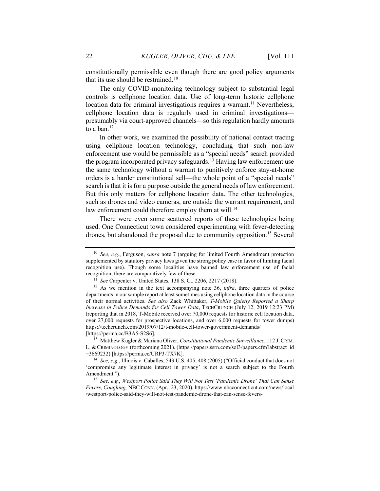constitutionally permissible even though there are good policy arguments that its use should be restrained.<sup>[10](#page-4-0)</sup>

The only COVID-monitoring technology subject to substantial legal controls is cellphone location data. Use of long-term historic cellphone location data for criminal investigations requires a warrant.<sup>[11](#page-4-1)</sup> Nevertheless, cellphone location data is regularly used in criminal investigations presumably via court-approved channels—so this regulation hardly amounts to a ban. $12$ 

<span id="page-4-8"></span><span id="page-4-7"></span>In other work, we examined the possibility of national contact tracing using cellphone location technology, concluding that such non-law enforcement use would be permissible as a "special needs" search provided the program incorporated privacy safeguards.<sup>[13](#page-4-3)</sup> Having law enforcement use the same technology without a warrant to punitively enforce stay-at-home orders is a harder constitutional sell—the whole point of a "special needs" search is that it is for a purpose outside the general needs of law enforcement. But this only matters for cellphone location data. The other technologies, such as drones and video cameras, are outside the warrant requirement, and law enforcement could therefore employ them at will.<sup>[14](#page-4-4)</sup>

There were even some scattered reports of these technologies being used. One Connecticut town considered experimenting with fever-detecting drones, but abandoned the proposal due to community opposition.<sup>[15](#page-4-5)</sup> Several

<span id="page-4-3"></span><sup>13</sup> Matthew Kugler & Mariana Oliver, *Constitutional Pandemic Surveillance*, 112 J.CRIM. L. & CRIMINOLOGY (forthcoming 2021). (https://papers.ssrn.com/sol3/papers.cfm?abstract\_id =3669232) [https://perma.cc/URP3-TX7K].

<span id="page-4-4"></span><sup>14</sup> *See, e.g.*, Illinois v. Caballes, 543 U.S. 405, 408 (2005) ("Official conduct that does not 'compromise any legitimate interest in privacy' is not a search subject to the Fourth Amendment.").

<span id="page-4-5"></span><sup>15</sup> *See, e.g.*, *Westport Police Said They Will Not Test 'Pandemic Drone' That Can Sense Fevers, Coughing,* NBC CONN. (Apr., 23, 2020), https://www.nbcconnecticut.com/news/local /westport-police-said-they-will-not-test-pandemic-drone-that-can-sense-fevers-

<span id="page-4-0"></span><sup>10</sup> *See, e.g.*, Ferguson, *supra* note [7](#page-3-0) (arguing for limited Fourth Amendment protection supplemented by statutory privacy laws given the strong policy case in favor of limiting facial recognition use). Though some localities have banned law enforcement use of facial recognition, there are comparatively few of these.

<span id="page-4-6"></span><sup>11</sup> *See* Carpenter v. United States, 138 S. Ct. 2206, 2217 (2018).

<span id="page-4-2"></span><span id="page-4-1"></span><sup>12</sup> As we mention in the text accompanying note [36,](#page-10-0) *infra*, three quarters of police departments in our sample report at least sometimes using cellphone location data in the course of their normal activities. *See also* Zack Whittaker, *T-Mobile Quietly Reported a Sharp Increase in Police Demands for Cell Tower Data*, TECHCRUNCH (July 12, 2019 12:23 PM) (reporting that in 2018, T-Mobile received over 70,000 requests for historic cell location data, over 27,000 requests for prospective locations, and over 6,000 requests for tower dumps) https://techcrunch.com/2019/07/12/t-mobile-cell-tower-government-demands/ [https://perma.cc/B3A5-S2S6].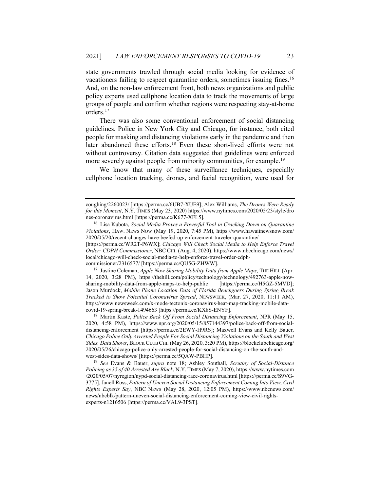<span id="page-5-5"></span>state governments trawled through social media looking for evidence of vacationers failing to respect quarantine orders, sometimes issuing fines.<sup>[16](#page-5-1)</sup> And, on the non-law enforcement front, both news organizations and public policy experts used cellphone location data to track the movements of large groups of people and confirm whether regions were respecting stay-at-home orders.<sup>[17](#page-5-2)</sup>

<span id="page-5-0"></span>There was also some conventional enforcement of social distancing guidelines. Police in New York City and Chicago, for instance, both cited people for masking and distancing violations early in the pandemic and then later abandoned these efforts.<sup>[18](#page-5-3)</sup> Even these short-lived efforts were not without controversy. Citation data suggested that guidelines were enforced more severely against people from minority communities, for example.<sup>[19](#page-5-4)</sup>

We know that many of these surveillance techniques, especially cellphone location tracking, drones, and facial recognition, were used for

<span id="page-5-3"></span><sup>18</sup> Martin Kaste, *Police Back Off From Social Distancing Enforcement*, NPR (May 15, 2020, 4:58 PM), https://www.npr.org/2020/05/15/857144397/police-back-off-from-socialdistancing-enforcement [https://perma.cc/2EWY-H9RS]; Maxwell Evans and Kelly Bauer, *Chicago Police Only Arrested People For Social Distancing Violations on the South and West Sides, Data Shows*, BLOCK CLUB CHI. (May 26, 2020, 3:20 PM), https://blockclubchicago.org/ 2020/05/26/chicago-police-only-arrested-people-for-social-distancing-on-the-south-andwest-sides-data-shows/ [https://perma.cc/5QAW-PBHP].

<span id="page-5-4"></span><sup>19</sup> *See* Evans & Bauer, *supra* note [18;](#page-5-0) Ashley Southall, *Scrutiny of Social-Distance Policing as 35 of 40 Arrested Are Black*, N.Y. TIMES (May 7, 2020), https://www.nytimes.com /2020/05/07/nyregion/nypd-social-distancing-race-coronavirus.html [https://perma.cc/S9VG-3775]; Janell Ross, *Pattern of Uneven Social Distancing Enforcement Coming Into View, Civil Rights Experts Say*, NBC NEWS (May 28, 2020, 12:05 PM), https://www.nbcnews.com/ news/nbcblk/pattern-uneven-social-distancing-enforcement-coming-view-civil-rightsexperts-n1216506 [https://perma.cc/VAL9-3PST].

coughing/2260023/ [https://perma.cc/6UB7-XUE9]; Alex Williams, *The Drones Were Ready for this Moment*, N.Y. TIMES (May 23, 2020) https://www.nytimes.com/2020/05/23/style/dro nes-coronavirus.html [https://perma.cc/K677-XFL5].

<span id="page-5-1"></span><sup>16</sup> Lisa Kubota, *Social Media Proves a Powerful Tool in Cracking Down on Quarantine Violations*, HAW. NEWS NOW (May 19, 2020, 7:45 PM), https://www.hawaiinewsnow.com/ 2020/05/20/recent-changes-have-beefed-up-enforcement-traveler-quarantine/

<sup>[</sup>https://perma.cc/WR2T-P6WX]; *Chicago Will Check Social Media to Help Enforce Travel Order: CDPH Commissioner*, NBC CHI. (Aug. 4, 2020), https://www.nbcchicago.com/news/ local/chicago-will-check-social-media-to-help-enforce-travel-order-cdph-

commissioner/2316577/ [https://perma.cc/QU5G-ZHWW].

<span id="page-5-2"></span><sup>&</sup>lt;sup>17</sup> Justine Coleman, *Apple Now Sharing Mobility Data from Apple Maps*, THE HILL (Apr. 14, 2020, 3:28 PM), https://thehill.com/policy/technology/technology/492763-apple-nowsharing-mobility-data-from-apple-maps-to-help-public [https://perma.cc/H5GZ-5MVD]; Jason Murdock, *Mobile Phone Location Data of Florida Beachgoers During Spring Break Tracked to Show Potential Coronavirus Spread*, NEWSWEEK, (Mar. 27, 2020, 11:11 AM), https://www.newsweek.com/x-mode-tectonix-coronavirus-heat-map-tracking-mobile-datacovid-19-spring-break-1494663 [https://perma.cc/KX8S-ENYF].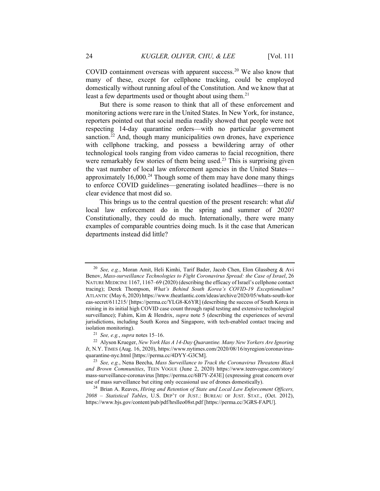COVID containment overseas with apparent success.[20](#page-6-0) We also know that many of these, except for cellphone tracking, could be employed domestically without running afoul of the Constitution. And we know that at least a few departments used or thought about using them.<sup>[21](#page-6-1)</sup>

But there is some reason to think that all of these enforcement and monitoring actions were rare in the United States. In New York, for instance, reporters pointed out that social media readily showed that people were not respecting 14-day quarantine orders—with no particular government sanction.<sup>[22](#page-6-2)</sup> And, though many municipalities own drones, have experience with cellphone tracking, and possess a bewildering array of other technological tools ranging from video cameras to facial recognition, there were remarkably few stories of them being used.<sup>[23](#page-6-3)</sup> This is surprising given the vast number of local law enforcement agencies in the United States approximately  $16,000$ <sup>[24](#page-6-4)</sup> Though some of them may have done many things to enforce COVID guidelines—generating isolated headlines—there is no clear evidence that most did so.

This brings us to the central question of the present research: what *did* local law enforcement do in the spring and summer of 2020? Constitutionally, they could do much. Internationally, there were many examples of comparable countries doing much. Is it the case that American departments instead did little?

<span id="page-6-0"></span><sup>20</sup> *See, e.g.*, Moran Amit, Heli Kimhi, Tarif Bader, Jacob Chen, Elon Glassberg & Avi Benov, *Mass-surveillance Technologies to Fight Coronavirus Spread: the Case of Israel*, 26 NATURE MEDICINE 1167, 1167–69 (2020) (describing the efficacy of Israel's cellphone contact tracing); Derek Thompson, *What's Behind South Korea's COVID-19 Exceptionalism?* ATLANTIC (May 6, 2020) https://www.theatlantic.com/ideas/archive/2020/05/whats-south-kor eas-secret/611215/ [https://perma.cc/YLG8-K6YR] (describing the success of South Korea in reining in its initial high COVID case count through rapid testing and extensive technological surveillance); Fahim, Kim & Hendrix, *supra* note [5](#page-2-5) (describing the experiences of several jurisdictions, including South Korea and Singapore, with tech-enabled contact tracing and isolation monitoring).

<sup>21</sup> *See, e.g.*, *supra* notes [15](#page-4-6)[–16.](#page-5-5)

<span id="page-6-2"></span><span id="page-6-1"></span><sup>22</sup> Alyson Krueger, *New York Has A 14-Day Quarantine. Many New Yorkers Are Ignoring It*, N.Y. TIMES (Aug. 16, 2020), https://www.nytimes.com/2020/08/16/nyregion/coronavirusquarantine-nyc.html [https://perma.cc/4DYY-G3CM].

<span id="page-6-3"></span><sup>23</sup> *See, e.g.*, Nena Beecha, *Mass Surveillance to Track the Coronavirus Threatens Black and Brown Communities*, TEEN VOGUE (June 2, 2020) https://www.teenvogue.com/story/ mass-surveillance-coronavirus [https://perma.cc/6B7Y-Z43E] (expressing great concern over use of mass surveillance but citing only occasional use of drones domestically).

<span id="page-6-4"></span><sup>24</sup> Brian A. Reaves, *Hiring and Retention of State and Local Law Enforcement Officers, 2008 – Statistical Tables*, U.S. DEP'T OF JUST.: BUREAU OF JUST. STAT., (Oct. 2012), https://www.bjs.gov/content/pub/pdf/hrslleo08st.pdf [https://perma.cc/3GRS-FAPU].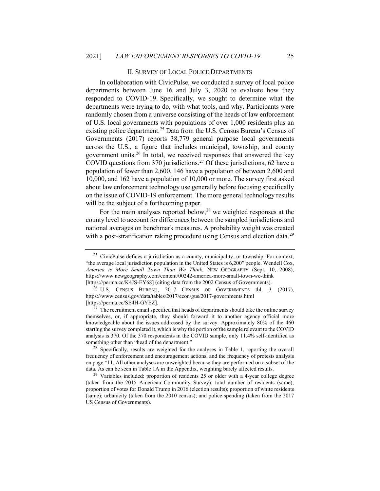#### II. SURVEY OF LOCAL POLICE DEPARTMENTS

In collaboration with CivicPulse, we conducted a survey of local police departments between June 16 and July 3, 2020 to evaluate how they responded to COVID-19. Specifically, we sought to determine what the departments were trying to do, with what tools, and why. Participants were randomly chosen from a universe consisting of the heads of law enforcement of U.S. local governments with populations of over 1,000 residents plus an existing police department.<sup>[25](#page-7-0)</sup> Data from the U.S. Census Bureau's Census of Governments (2017) reports 38,779 general purpose local governments across the U.S., a figure that includes municipal, township, and county government units.<sup>26</sup> In total, we received responses that answered the key COVID questions from 370 jurisdictions.<sup>[27](#page-7-2)</sup> Of these jurisdictions, 62 have a population of fewer than 2,600, 146 have a population of between 2,600 and 10,000, and 162 have a population of 10,000 or more. The survey first asked about law enforcement technology use generally before focusing specifically on the issue of COVID-19 enforcement. The more general technology results will be the subject of a forthcoming paper.

For the main analyses reported below,  $28$  we weighted responses at the county level to account for differences between the sampled jurisdictions and national averages on benchmark measures. A probability weight was created with a post-stratification raking procedure using Census and election data.<sup>[29](#page-7-4)</sup>

<span id="page-7-3"></span><sup>28</sup> Specifically, results are weighted for the analyses in Table 1, reporting the overall frequency of enforcement and encouragement actions, and the frequency of protests analysis on page \*11. All other analyses are unweighted because they are performed on a subset of the data. As can be seen in Table 1A in the Appendix, weighting barely affected results.

<span id="page-7-0"></span><sup>&</sup>lt;sup>25</sup> CivicPulse defines a jurisdiction as a county, municipality, or township. For context, "the average local jurisdiction population in the United States is 6,200" people. Wendell Cox, *America is More Small Town Than We Think*, NEW GEOGRAPHY (Sept. 10, 2008), https://www.newgeography.com/content/00242-america-more-small-town-we-think [https://perma.cc/K4JS-EY68] (citing data from the 2002 Census of Governments).

<span id="page-7-1"></span><sup>&</sup>lt;sup>26</sup> U.S. CENSUS BUREAU,  $2017$  CENSUS OF GOVERNMENTS tbl. 3  $(2017)$ , https://www.census.gov/data/tables/2017/econ/gus/2017-governments.html [https://perma.cc/SE4H-GYEZ].

<span id="page-7-2"></span> $27$  The recruitment email specified that heads of departments should take the online survey themselves, or, if appropriate, they should forward it to another agency official more knowledgeable about the issues addressed by the survey. Approximately 80% of the 460 starting the survey completed it, which is why the portion of the sample relevant to the COVID analysis is 370. Of the 370 respondents in the COVID sample, only 11.4% self-identified as something other than "head of the department."

<span id="page-7-4"></span> $29$  Variables included: proportion of residents 25 or older with a 4-year college degree (taken from the 2015 American Community Survey); total number of residents (same); proportion of votes for Donald Trump in 2016 (election results); proportion of white residents (same); urbanicity (taken from the 2010 census); and police spending (taken from the 2017 US Census of Governments).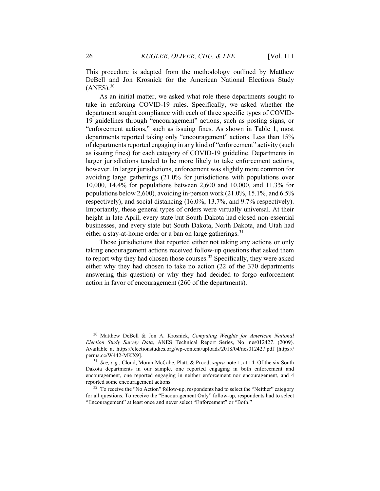This procedure is adapted from the methodology outlined by Matthew DeBell and Jon Krosnick for the American National Elections Study  $(ANES).<sup>30</sup>$  $(ANES).<sup>30</sup>$  $(ANES).<sup>30</sup>$ 

As an initial matter, we asked what role these departments sought to take in enforcing COVID-19 rules. Specifically, we asked whether the department sought compliance with each of three specific types of COVID-19 guidelines through "encouragement" actions, such as posting signs, or "enforcement actions," such as issuing fines. As shown in Table 1, most departments reported taking only "encouragement" actions. Less than 15% of departments reported engaging in any kind of "enforcement" activity (such as issuing fines) for each category of COVID-19 guideline. Departments in larger jurisdictions tended to be more likely to take enforcement actions, however. In larger jurisdictions, enforcement was slightly more common for avoiding large gatherings (21.0% for jurisdictions with populations over 10,000, 14.4% for populations between 2,600 and 10,000, and 11.3% for populations below 2,600), avoiding in-person work (21.0%, 15.1%, and 6.5% respectively), and social distancing (16.0%, 13.7%, and 9.7% respectively). Importantly, these general types of orders were virtually universal. At their height in late April, every state but South Dakota had closed non-essential businesses, and every state but South Dakota, North Dakota, and Utah had either a stay-at-home order or a ban on large gatherings.<sup>[31](#page-8-1)</sup>

Those jurisdictions that reported either not taking any actions or only taking encouragement actions received follow-up questions that asked them to report why they had chosen those courses.<sup>32</sup> Specifically, they were asked either why they had chosen to take no action (22 of the 370 departments answering this question) or why they had decided to forgo enforcement action in favor of encouragement (260 of the departments).

<span id="page-8-0"></span><sup>30</sup> Matthew DeBell & Jon A. Krosnick, *Computing Weights for American National Election Study Survey Data*, ANES Technical Report Series, No. nes012427. (2009). Available at https://electionstudies.org/wp-content/uploads/2018/04/nes012427.pdf [https:// perma.cc/W442-MKX9].

<span id="page-8-1"></span><sup>31</sup> *See, e.g.*, Cloud, Moran-McCabe, Platt, & Prood, *supra* not[e 1,](#page-2-6) at 14. Of the six South Dakota departments in our sample, one reported engaging in both enforcement and encouragement, one reported engaging in neither enforcement nor encouragement, and 4 reported some encouragement actions.

<span id="page-8-2"></span><sup>&</sup>lt;sup>32</sup> To receive the "No Action" follow-up, respondents had to select the "Neither" category for all questions. To receive the "Encouragement Only" follow-up, respondents had to select "Encouragement" at least once and never select "Enforcement" or "Both."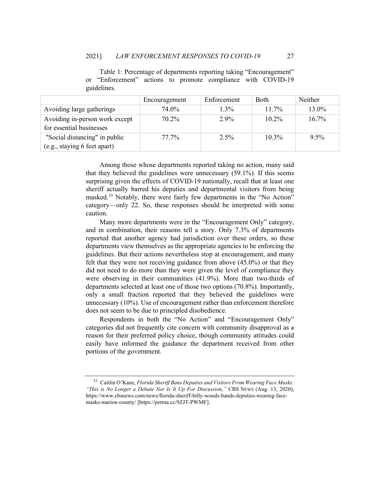| guidelines.                                                   | or "Enforcement" actions to promote compliance with COVID-19 |             |             |          |  |  |  |
|---------------------------------------------------------------|--------------------------------------------------------------|-------------|-------------|----------|--|--|--|
|                                                               | Encouragement                                                | Enforcement | <b>Both</b> | Neither  |  |  |  |
| Avoiding large gatherings                                     | 74.0%                                                        | $1.3\%$     | $11.7\%$    | 13.0%    |  |  |  |
| Avoiding in-person work except<br>for essential businesses    | 70.2%                                                        | 2.9%        | $10.2\%$    | $16.7\%$ |  |  |  |
| "Social distancing" in public<br>(e.g., staying 6 feet apart) | 77.7%                                                        | $2.5\%$     | $10.3\%$    | $9.5\%$  |  |  |  |

Table 1: Percentage of departments reporting taking "Encouragement" or "Enforcement" actions to promote compliance with COVID-19

Among those whose departments reported taking no action, many said that they believed the guidelines were unnecessary (59.1%). If this seems surprising given the effects of COVID-19 nationally, recall that at least one sheriff actually barred his deputies and departmental visitors from being masked.<sup>[33](#page-9-0)</sup> Notably, there were fairly few departments in the "No Action" category—only 22. So, these responses should be interpreted with some caution.

Many more departments were in the "Encouragement Only" category, and in combination, their reasons tell a story. Only 7.3% of departments reported that another agency had jurisdiction over these orders, so these departments view themselves as the appropriate agencies to be enforcing the guidelines. But their actions nevertheless stop at encouragement, and many felt that they were not receiving guidance from above (45.0%) or that they did not need to do more than they were given the level of compliance they were observing in their communities (41.9%). More than two-thirds of departments selected at least one of those two options (70.8%). Importantly, only a small fraction reported that they believed the guidelines were unnecessary (10%). Use of encouragement rather than enforcement therefore does not seem to be due to principled disobedience.

Respondents in both the "No Action" and "Encouragement Only" categories did not frequently cite concern with community disapproval as a reason for their preferred policy choice, though community attitudes could easily have informed the guidance the department received from other portions of the government.

<span id="page-9-0"></span><sup>33</sup> Caitlin O'Kane, *Florida Sheriff Bans Deputies and Visitors From Wearing Face Masks: "This is No Longer a Debate Nor Is It Up For Discussion*,*"* CBS NEWS (Aug. 13, 2020), https://www.cbsnews.com/news/florida-sheriff-billy-woods-bands-deputies-wearing-facemasks-marion-county/ [https://perma.cc/9ZJT-PWMF].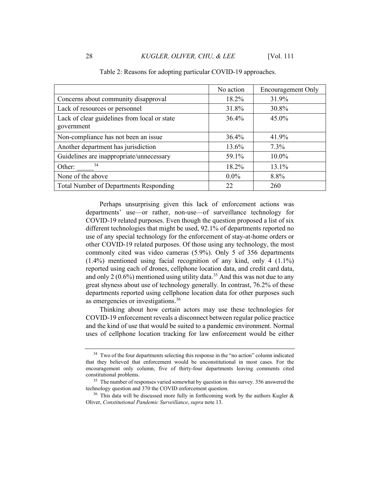|                                                            | No action | Encouragement Only |
|------------------------------------------------------------|-----------|--------------------|
| Concerns about community disapproval                       | 18.2%     | 31.9%              |
| Lack of resources or personnel                             | 31.8%     | 30.8%              |
| Lack of clear guidelines from local or state<br>government | 36.4%     | $45.0\%$           |
| Non-compliance has not been an issue                       | 36.4%     | 41.9%              |
| Another department has jurisdiction                        | 13.6%     | $7.3\%$            |
| Guidelines are inappropriate/unnecessary                   | 59.1%     | 10.0%              |
| 34<br>Other:                                               | 18.2%     | 13.1%              |
| None of the above                                          | $0.0\%$   | 8.8%               |
| <b>Total Number of Departments Responding</b>              | 22        | 260                |

#### Table 2: Reasons for adopting particular COVID-19 approaches.

Perhaps unsurprising given this lack of enforcement actions was departments' use—or rather, non-use—of surveillance technology for COVID-19 related purposes. Even though the question proposed a list of six different technologies that might be used, 92.1% of departments reported no use of any special technology for the enforcement of stay-at-home orders or other COVID-19 related purposes. Of those using any technology, the most commonly cited was video cameras (5.9%). Only 5 of 356 departments (1.4%) mentioned using facial recognition of any kind, only 4 (1.1%) reported using each of drones, cellphone location data, and credit card data, and only 2 (0.6%) mentioned using utility data.<sup>[35](#page-10-2)</sup> And this was not due to any great shyness about use of technology generally. In contrast, 76.2% of these departments reported using cellphone location data for other purposes such as emergencies or investigations.<sup>[36](#page-10-3)</sup>

<span id="page-10-0"></span>Thinking about how certain actors may use these technologies for COVID-19 enforcement reveals a disconnect between regular police practice and the kind of use that would be suited to a pandemic environment. Normal uses of cellphone location tracking for law enforcement would be either

<span id="page-10-1"></span><sup>&</sup>lt;sup>34</sup> Two of the four departments selecting this response in the "no action" column indicated that they believed that enforcement would be unconstitutional in most cases. For the encouragement only column, five of thirty-four departments leaving comments cited constitutional problems.

<span id="page-10-2"></span><sup>&</sup>lt;sup>35</sup> The number of responses varied somewhat by question in this survey. 356 answered the technology question and 370 the COVID enforcement question.

<span id="page-10-3"></span><sup>&</sup>lt;sup>36</sup> This data will be discussed more fully in forthcoming work by the authors Kugler  $\&$ Oliver, *Constitutional Pandemic Surveillance*, *supra* not[e 13.](#page-4-7)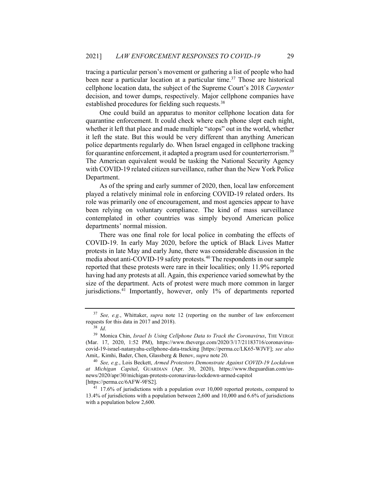tracing a particular person's movement or gathering a list of people who had been near a particular location at a particular time.<sup>[37](#page-11-0)</sup> Those are historical cellphone location data, the subject of the Supreme Court's 2018 *Carpenter* decision, and tower dumps, respectively. Major cellphone companies have established procedures for fielding such requests.<sup>[38](#page-11-1)</sup>

One could build an apparatus to monitor cellphone location data for quarantine enforcement. It could check where each phone slept each night, whether it left that place and made multiple "stops" out in the world, whether it left the state. But this would be very different than anything American police departments regularly do. When Israel engaged in cellphone tracking for quarantine enforcement, it adapted a program used for counterterrorism.<sup>[39](#page-11-2)</sup> The American equivalent would be tasking the National Security Agency with COVID-19 related citizen surveillance, rather than the New York Police Department.

As of the spring and early summer of 2020, then, local law enforcement played a relatively minimal role in enforcing COVID-19 related orders. Its role was primarily one of encouragement, and most agencies appear to have been relying on voluntary compliance. The kind of mass surveillance contemplated in other countries was simply beyond American police departments' normal mission.

There was one final role for local police in combating the effects of COVID-19. In early May 2020, before the uptick of Black Lives Matter protests in late May and early June, there was considerable discussion in the media about anti-COVID-19 safety protests.<sup>[40](#page-11-3)</sup> The respondents in our sample reported that these protests were rare in their localities; only 11.9% reported having had any protests at all. Again, this experience varied somewhat by the size of the department. Acts of protest were much more common in larger jurisdictions. $4\overline{1}$  Importantly, however, only 1% of departments reported

<span id="page-11-0"></span><sup>37</sup> *See, e.g.*, Whittaker, *supra* note [12](#page-4-8) (reporting on the number of law enforcement requests for this data in 2017 and 2018).

<sup>38</sup> *Id*.

<span id="page-11-2"></span><span id="page-11-1"></span><sup>&</sup>lt;sup>39</sup> Monica Chin, *Israel Is Using Cellphone Data to Track the Coronavirus*, THE VERGE (Mar. 17, 2020, 1:52 PM), https://www.theverge.com/2020/3/17/21183716/coronaviruscovid-19-israel-natanyahu-cellphone-data-tracking [https://perma.cc/LK65-WJVF]; *see also* Amit,. Kimhi, Bader, Chen, Glassberg & Benov, *supra* note 20.

<span id="page-11-3"></span><sup>40</sup> *See, e.g.*, Lois Beckett, *Armed Protestors Demonstrate Against COVID-19 Lockdown at Michigan Capital*, GUARDIAN (Apr. 30, 2020), https://www.theguardian.com/usnews/2020/apr/30/michigan-protests-coronavirus-lockdown-armed-capitol [https://perma.cc/6AFW-9FS2].

<span id="page-11-4"></span><sup>&</sup>lt;sup>41</sup> 17.6% of jurisdictions with a population over 10,000 reported protests, compared to 13.4% of jurisdictions with a population between 2,600 and 10,000 and 6.6% of jurisdictions with a population below 2,600.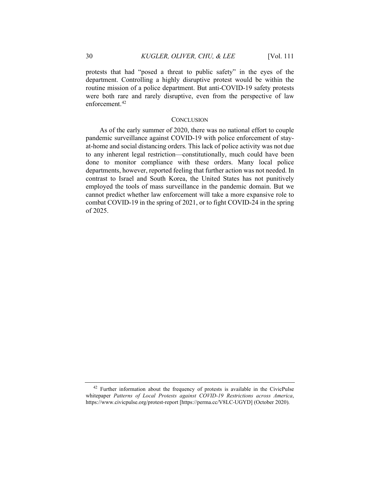protests that had "posed a threat to public safety" in the eyes of the department. Controlling a highly disruptive protest would be within the routine mission of a police department. But anti-COVID-19 safety protests were both rare and rarely disruptive, even from the perspective of law enforcement.<sup>42</sup>

#### **CONCLUSION**

As of the early summer of 2020, there was no national effort to couple pandemic surveillance against COVID-19 with police enforcement of stayat-home and social distancing orders. This lack of police activity was not due to any inherent legal restriction—constitutionally, much could have been done to monitor compliance with these orders. Many local police departments, however, reported feeling that further action was not needed. In contrast to Israel and South Korea, the United States has not punitively employed the tools of mass surveillance in the pandemic domain. But we cannot predict whether law enforcement will take a more expansive role to combat COVID-19 in the spring of 2021, or to fight COVID-24 in the spring of 2025.

<span id="page-12-0"></span> $42$  Further information about the frequency of protests is available in the CivicPulse whitepaper *Patterns of Local Protests against COVID-19 Restrictions across America*, https://www.civicpulse.org/protest-report [https://perma.cc/V8LC-UGYD] (October 2020).